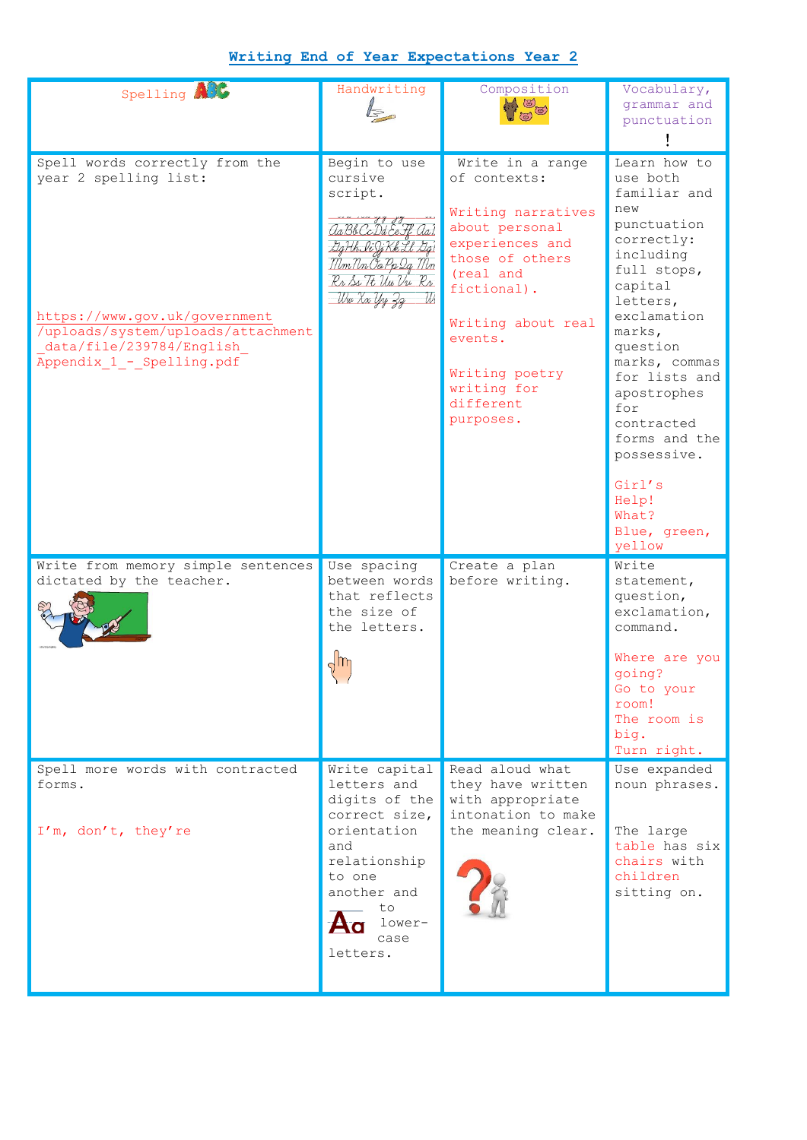## **Writing End of Year Expectations Year 2**

| Spelling ACC                                                                                                                                                                            | Handwriting                                                                                                                                                       | Composition<br>$A$ $\odot$                                                                                                                                                                                                             | Vocabulary,<br>grammar and<br>punctuation                                                                                                                                                                                                  |
|-----------------------------------------------------------------------------------------------------------------------------------------------------------------------------------------|-------------------------------------------------------------------------------------------------------------------------------------------------------------------|----------------------------------------------------------------------------------------------------------------------------------------------------------------------------------------------------------------------------------------|--------------------------------------------------------------------------------------------------------------------------------------------------------------------------------------------------------------------------------------------|
| Spell words correctly from the<br>year 2 spelling list:<br>https://www.gov.uk/government<br>/uploads/system/uploads/attachment<br>data/file/239784/English<br>Appendix 1 - Spelling.pdf | Begin to use<br>cursive<br>script.<br>aa Bb CcDd Ee Ff aal<br>SgHh li Ji Kk Ll Sgi<br>Mm Nn Oo Pp 2q Mm<br>Rr Ss Tt Un Vu Rr<br>Wu Xx Uni                         | Write in a range<br>of contexts:<br>Writing narratives<br>about personal<br>experiences and<br>those of others<br>(real and<br>fictional).<br>Writing about real<br>events.<br>Writing poetry<br>writing for<br>different<br>purposes. | Learn how to<br>use both<br>familiar and<br>new<br>punctuation<br>correctly:<br>including<br>full stops,<br>capital<br>letters,<br>exclamation<br>marks,<br>question<br>marks, commas<br>for lists and<br>apostrophes<br>for<br>contracted |
|                                                                                                                                                                                         |                                                                                                                                                                   |                                                                                                                                                                                                                                        | forms and the<br>possessive.<br>Girl's<br>Help!<br>What?<br>Blue, green,<br>yellow                                                                                                                                                         |
| Write from memory simple sentences<br>dictated by the teacher.                                                                                                                          | Use spacing<br>between words<br>that reflects<br>the size of<br>the letters.                                                                                      | Create a plan<br>before writing.                                                                                                                                                                                                       | Write<br>statement,<br>question,<br>exclamation,<br>command.<br>Where are you<br>going?<br>Go to your<br>room!<br>The room is<br>big.<br>Turn right.                                                                                       |
| Spell more words with contracted<br>forms.<br>I'm, don't, they're                                                                                                                       | Write capital<br>letters and<br>digits of the<br>correct size,<br>orientation<br>and<br>relationship<br>to one<br>another and<br>to<br>lower-<br>case<br>letters. | Read aloud what<br>they have written<br>with appropriate<br>intonation to make<br>the meaning clear.                                                                                                                                   | Use expanded<br>noun phrases.<br>The large<br>table has six<br>chairs with<br>children<br>sitting on.                                                                                                                                      |